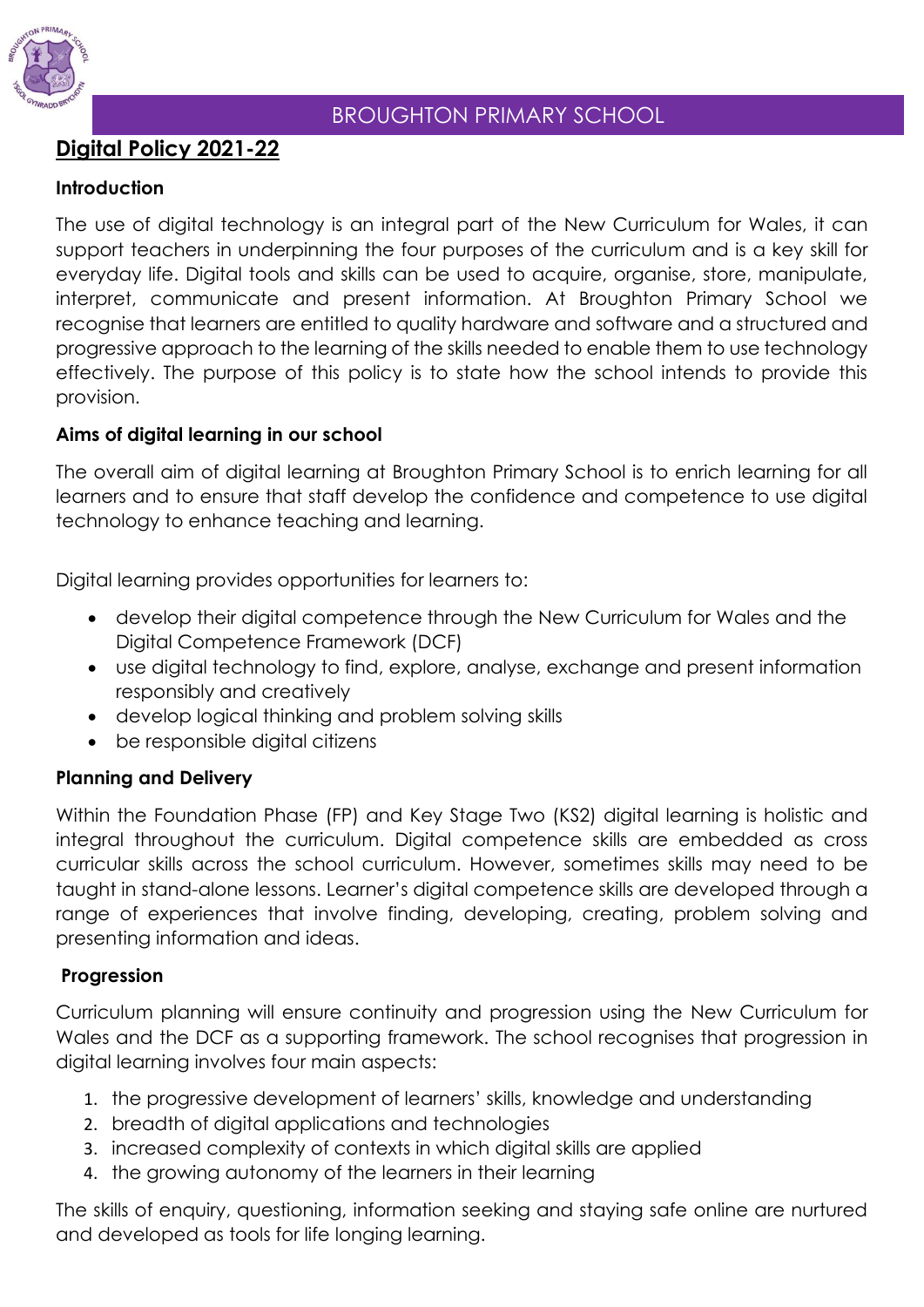

## BROUGHTON PRIMARY SCHOOL

# **Digital Policy 2021-22**

### **Introduction**

The use of digital technology is an integral part of the New Curriculum for Wales, it can support teachers in underpinning the four purposes of the curriculum and is a key skill for everyday life. Digital tools and skills can be used to acquire, organise, store, manipulate, interpret, communicate and present information. At Broughton Primary School we recognise that learners are entitled to quality hardware and software and a structured and progressive approach to the learning of the skills needed to enable them to use technology effectively. The purpose of this policy is to state how the school intends to provide this provision.

### **Aims of digital learning in our school**

The overall aim of digital learning at Broughton Primary School is to enrich learning for all learners and to ensure that staff develop the confidence and competence to use digital technology to enhance teaching and learning.

Digital learning provides opportunities for learners to:

- develop their digital competence through the New Curriculum for Wales and the Digital Competence Framework (DCF)
- use digital technology to find, explore, analyse, exchange and present information responsibly and creatively
- develop logical thinking and problem solving skills
- be responsible digital citizens

### **Planning and Delivery**

Within the Foundation Phase (FP) and Key Stage Two (KS2) digital learning is holistic and integral throughout the curriculum. Digital competence skills are embedded as cross curricular skills across the school curriculum. However, sometimes skills may need to be taught in stand-alone lessons. Learner's digital competence skills are developed through a range of experiences that involve finding, developing, creating, problem solving and presenting information and ideas.

### **Progression**

Curriculum planning will ensure continuity and progression using the New Curriculum for Wales and the DCF as a supporting framework. The school recognises that progression in digital learning involves four main aspects:

- 1. the progressive development of learners' skills, knowledge and understanding
- 2. breadth of digital applications and technologies
- 3. increased complexity of contexts in which digital skills are applied
- 4. the growing autonomy of the learners in their learning

The skills of enquiry, questioning, information seeking and staying safe online are nurtured and developed as tools for life longing learning.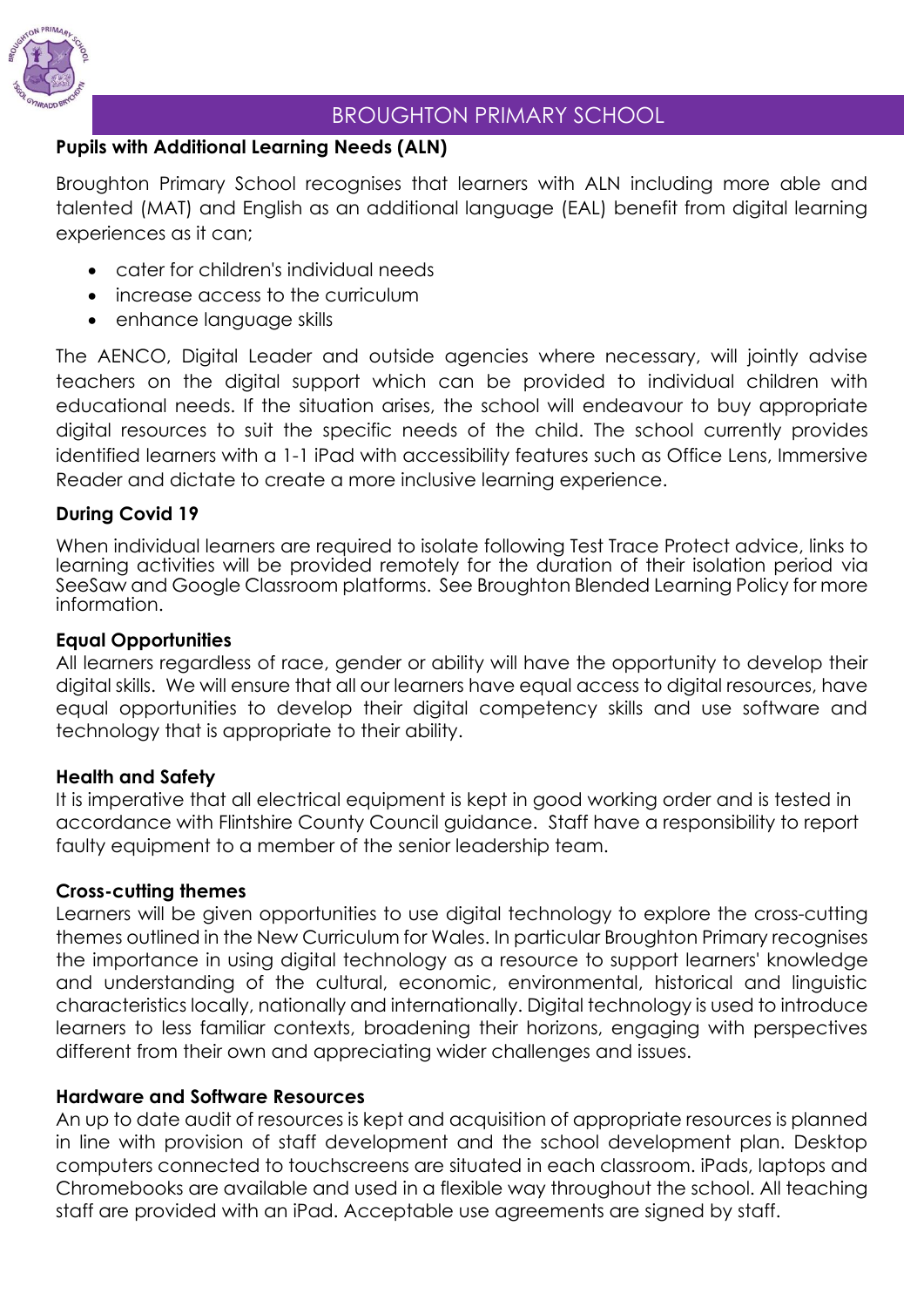

## BROUGHTON PRIMARY SCHOOL

## **Pupils with Additional Learning Needs (ALN)**

Broughton Primary School recognises that learners with ALN including more able and talented (MAT) and English as an additional language (EAL) benefit from digital learning experiences as it can;

- cater for children's individual needs
- increase access to the curriculum
- enhance language skills

The AENCO, Digital Leader and outside agencies where necessary, will jointly advise teachers on the digital support which can be provided to individual children with educational needs. If the situation arises, the school will endeavour to buy appropriate digital resources to suit the specific needs of the child. The school currently provides identified learners with a 1-1 iPad with accessibility features such as Office Lens, Immersive Reader and dictate to create a more inclusive learning experience.

## **During Covid 19**

When individual learners are required to isolate following Test Trace Protect advice, links to learning activities will be provided remotely for the duration of their isolation period via SeeSaw and Google Classroom platforms. See Broughton Blended Learning Policy for more information.

### **Equal Opportunities**

All learners regardless of race, gender or ability will have the opportunity to develop their digital skills. We will ensure that all our learners have equal access to digital resources, have equal opportunities to develop their digital competency skills and use software and technology that is appropriate to their ability.

### **Health and Safety**

It is imperative that all electrical equipment is kept in good working order and is tested in accordance with Flintshire County Council guidance. Staff have a responsibility to report faulty equipment to a member of the senior leadership team.

### **Cross-cutting themes**

Learners will be given opportunities to use digital technology to explore the cross-cutting themes outlined in the New Curriculum for Wales. In particular Broughton Primary recognises the importance in using digital technology as a resource to support learners' knowledge and understanding of the cultural, economic, environmental, historical and linguistic characteristics locally, nationally and internationally. Digital technology is used to introduce learners to less familiar contexts, broadening their horizons, engaging with perspectives different from their own and appreciating wider challenges and issues.

### **Hardware and Software Resources**

An up to date audit of resources is kept and acquisition of appropriate resources is planned in line with provision of staff development and the school development plan. Desktop computers connected to touchscreens are situated in each classroom. iPads, laptops and Chromebooks are available and used in a flexible way throughout the school. All teaching staff are provided with an iPad. Acceptable use agreements are signed by staff.